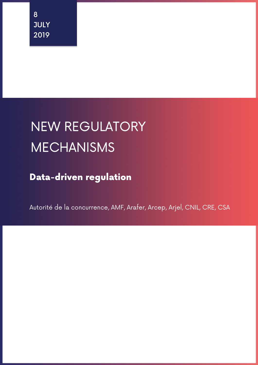# NEW REGULATORY MECHANISMS

Data-driven regulation

Autorité de la concurrence, AMF, Arafer, Arcep, Arjel, CNIL, CRE, CSA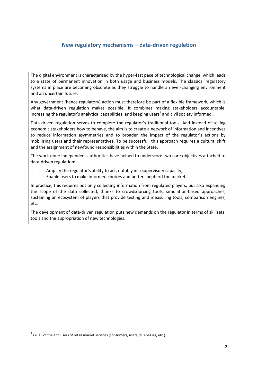# **New regulatory mechanisms – data-driven regulation**

The digital environment is characterised by the hyper-fast pace of technological change, which leads to a state of permanent innovation in both usage and business models. The classical regulatory systems in place are becoming obsolete as they struggle to handle an ever-changing environment and an uncertain future.

Any government (hence regulatory) action must therefore be part of a flexible framework, which is what data-driven regulation makes possible. It combines making stakeholders accountable, increasing the regulator's analytical capabilities, and keeping users<sup>1</sup> and civil society informed.

Data-driven regulation serves to complete the regulator's traditional tools. And instead of telling economic stakeholders how to behave, the aim is to create a network of information and incentives to reduce information asymmetries and to broaden the impact of the regulator's actions by mobilising users and their representatives. To be successful, this approach requires a cultural shift and the assignment of newfound responsibilities within the State.

The work done independent authorities have helped to underscore two core objectives attached to data-driven regulation:

- Amplify the regulator's ability to act, notably in a supervisory capacity;
- Enable users to make informed choices and better shepherd the market.

In practice, this requires not only collecting information from regulated players, but also expanding the scope of the data collected, thanks to crowdsourcing tools, simulation-based approaches, sustaining an ecosystem of players that provide testing and measuring tools, comparison engines, etc.

The development of data-driven regulation puts new demands on the regulator in terms of skillsets, tools and the appropriation of new technologies.

 $^{1}$  i.e. all of the end users of retail market services (consumers, users, businesses, etc.)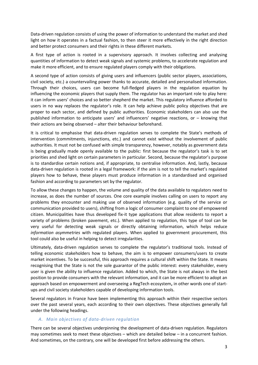Data-driven regulation consists of using the power of information to understand the market and shed light on how it operates in a factual fashion, to then steer it more effectively in the right direction and better protect consumers and their rights in these different markets.

A first type of action is rooted in a supervisory approach. It involves collecting and analysing quantities of information to detect weak signals and systemic problems, to accelerate regulation and make it more efficient, and to ensure regulated players comply with their obligations.

A second type of action consists of giving users and influencers (public sector players, associations, civil society, etc.) a countervailing power thanks to accurate, detailed and personalised information. Through their choices, users can become full-fledged players in the regulation equation by influencing the economic players that supply them. The regulator has an important role to play here: it can inform users' choices and so better shepherd the market. This regulatory influence afforded to users in no way replaces the regulator's role. It can help achieve public policy objectives that are proper to each sector, and defined by public authorities. Economic stakeholders can also use the published information to anticipate users' and influencers' negative reactions, or – knowing that their actions are being observed – alter their behaviour beforehand.

It is critical to emphasise that data-driven regulation serves to complete the State's methods of intervention (commitments, injunctions, etc.) and cannot exist without the involvement of public authorities. It must not be confused with simple transparency, however, notably as government data is being gradually made openly available to the public: first because the regulator's task is to set priorities and shed light on certain parameters in particular. Second, because the regulator's purpose is to standardise certain notions and, if appropriate, to centralise information. And, lastly, because data-driven regulation is rooted in a legal framework: if the aim is not to tell the market's regulated players how to behave, these players must produce information in a standardised and organised fashion and according to parameters set by the regulator.

To allow these changes to happen, the volume and quality of the data available to regulators need to increase, as does the number of sources. One core example involves calling on users to report any problems they encounter and making use of observed information (e.g. quality of the service or communication provided to users), shifting from a logic of consumer complaint to one of empowered citizen. Municipalities have thus developed fix-it type applications that allow residents to report a variety of problems (broken pavement, etc.). When applied to regulation, this type of tool can be very useful for detecting weak signals or directly obtaining information, which helps reduce *information asymmetries* with regulated players. When applied to government procurement, this tool could also be useful in helping to detect irregularities.

Ultimately, data-driven regulation serves to complete the regulator's traditional tools. Instead of telling economic stakeholders how to behave, the aim is to empower consumers/users to create market incentives. To be successful, this approach requires a cultural shift within the State. It means recognising that the State is not the sole guarantor of the public interest: every stakeholder, every user is given the ability to influence regulation. Added to which, the State is not always in the best position to provide consumers with the relevant information, and it can be more efficient to adopt an approach based on empowerment and overseeing a RegTech ecosystem**,** in other words one of startups and civil society stakeholders capable of developing information tools.

Several regulators in France have been implementing this approach within their respective sectors over the past several years, each according to their own objectives. These objectives generally fall under the following headings.

#### *A. Main objectives of data-driven regulation*

There can be several objectives underpinning the development of data-driven regulation. Regulators may sometimes seek to meet these objectives – which are detailed below – in a concurrent fashion. And sometimes, on the contrary, one will be developed first before addressing the others.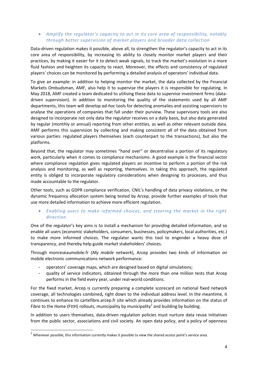### *Amplify the regulator's capacity to act in its core area of responsibility, notably through better supervision of market players and broader data collection*

Data-driven regulation makes it possible, above all, to strengthen the regulator's capacity to act in its core area of responsibility, by increasing its ability to closely monitor market players and their practices, by making it easier for it to detect weak signals, to track the market's evolution in a more fluid fashion and heighten its capacity to react. Moreover, the effects and consistency of regulated players' choices can be monitored by performing a detailed analysis of operators' individual data.

To give an example: in addition to helping monitor the market, the data collected by the Financial Markets Ombudsman, AMF, also help it to supervise the players it is responsible for regulating. In May 2018, AMF created a team dedicated to utilising these data to supervise investment firms (datadriven supervision). In addition to monitoring the quality of the statements used by all AMF departments, this team will develop *ad-hoc* tools for detecting anomalies and assisting supervisors to analyse the operations of companies that fall under their purview. These supervisory tools are also designed to incorporate not only data the regulator receives on a daily basis, but also data generated by regular (monthly or annual) reporting from other entities, as well as other relevant outside data. AMF performs this supervision by collecting and making consistent all of the data obtained from various parties: regulated players themselves (each counterpart to the transactions), but also the platforms.

Beyond that, the regulator may sometimes "hand over" or decentralise a portion of its regulatory work, particularly when it comes to compliance mechanisms. A good example is the financial sector where compliance regulation gives regulated players an incentive to perform a portion of the risk analysis and monitoring, as well as reporting, themselves. In taking this approach, the regulated entity is obliged to incorporate regulatory considerations when designing its processes, and thus made accountable to the regulator.

Other tools, such as GDPR compliance verification, CNIL's handling of data privacy violations, or the dynamic frequency allocation system being tested by Arcep, provide further examples of tools that use more detailed information to achieve more efficient regulation.

#### *Enabling users to make informed choices, and steering the market in the right direction*

One of the regulator's key aims is to install a mechanism for providing detailed information, and so enable all users (economic stakeholders, consumers, businesses, policymakers, local authorities, etc.) to make more informed choices. The regulator wants this tool to engender a heavy dose of transparency, and thereby help guide market stakeholders' choices.

Through monreseaumobile.fr (*My mobile network*), Arcep provides two kinds of information on mobile electronic communications network performance:

- operators' coverage maps, which are designed based on digital simulations;
- quality of service indicators, obtained through the more than one million tests that Arcep performs in the field every year, under real-world conditions.

For the fixed market, Arcep is currently preparing a complete scorecard on national fixed network coverage, all technologies combined**,** right down to the individual address level. In the meantime, it continues to enhance its cartefibre.arcep.fr site which already provides information on the status of Fibre to the Home (FttH) rollouts, municipality by municipality<sup>2</sup> and building by building.

In addition to users themselves, data-driven regulation policies must nurture data reuse initiatives from the public sector, associations and civil society. An open data policy, and a policy of openness

 $2$  Whenever possible, this information currently makes it possible to view the shared access point's service area.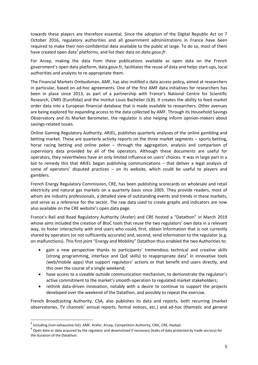towards these players are therefore essential. Since the adoption of the Digital Republic Act on 7 October 2016, regulatory authorities and all government administrations in France have been required to make their non-confidential data available to the public at large. To do so, most of them have created open data<sup>3</sup> platforms, and list their data on *data.gouv.fr*.

For Arcep, making the data from these publications available as open data on the French government's open data platform, data.gouv.fr, facilitates the reuse of data and helps start-ups, local authorities and analysts to re-appropriate them.

The Financial Markets Ombudsman, AMF, has also instilled a data access policy**,** aimed at researchers in particular, based on ad-hoc agreements. One of the first AMF data initiatives for researchers has been in place since 2013, as part of a partnership with France's National Centre for Scientific Research, CNRS (Eurofidai) and the Institut Louis Bachelier (ILB). It creates the ability to feed market order data into a European financial database that is made available to researchers. Other avenues are being explored for expanding access to the data collected by AMF. Through its Household Savings Observatory and its Market Barometer, the regulator is also helping inform opinion-makers about savings-related issues.

Online Gaming Regulatory Authority, ARJEL, publishes quarterly analyses of the online gambling and betting market. These are quarterly activity reports on the three market segments – sports betting, horse racing betting and online poker – through the aggregation, analysis and comparison of supervisory data provided by all of the operators. Although these documents are useful for operators, they nevertheless have an only limited influence on users' choices. It was in large part in a bid to remedy this that ARJEL began publishing communications – that deliver a legal analysis of some of operators' disputed practices – on its website, which could be useful to players and gamblers.

French Energy Regulatory Commission, CRE, has been publishing scorecards on wholesale and retail electricity and natural gas markets on a quarterly basis since 2005. They provide readers, most of whom are industry professionals, a detailed view of outstanding events and trends in these markets, and serve as a reference for the sector. The raw data used to create graphs and indicators are now also available on the CRE website's open data page.

France's Rail and Road Regulatory Authority (Arafer) and CRE hosted a "Datathon" in March 2019 whose aims included the creation of BtoC tools that reuse the two regulators' own data in a relevant way, to foster interactivity with end users who could, first, obtain information that is not currently shared by operators (or not sufficiently accurate) and, second, send information to the regulator (e.g. on malfunctions). This first joint "Energy and Mobility" Datathon thus enabled the two Authorities to:

- gain a new perspective thanks to participants' tremendous technical and creative skills (strong programming, interface and QoE skills) to reappropriate data<sup>4</sup> in innovative tools (web/mobile apps) that support regulators' actions or that benefit end users directly, and this over the course of a single weekend;
- have access to a sizeable outside communication mechanism, to demonstrate the regulator's active commitment to the market's smooth operation to regulated market stakeholders;
- rethink data-driven innovation, notably with a desire to continue to support the projects developed over the weekend of the Datathon, and possibly to repeat the exercise.

French Broadcasting Authority, CSA, also publishes its data and reports, both recurring (market observatories, TV channels' annual reports, formal notices, etc.) and ad-hoc (thematic and general

<sup>&</sup>lt;sup>3</sup> Including (non-exhaustive list): AMF, Arafer, Arcep, Competition Authority, CNIL, CRE, Hadopi.

<sup>&</sup>lt;sup>4</sup> Open data or data acquired by the regulator and desensitised if necessary (leaks of data protected by trade secrecy) for the duration of the Datathon.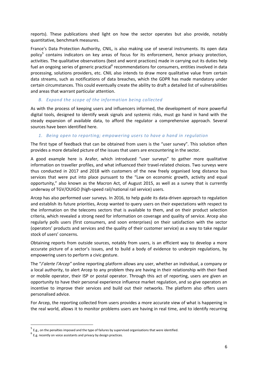reports). These publications shed light on how the sector operates but also provide, notably quantitative, benchmark measures.

France's Data Protection Authority, CNIL, is also making use of several instruments. Its open data policy<sup>5</sup> contains indicators on key areas of focus for its enforcement, hence privacy protection, activities. The qualitative observations (best and worst practices) made in carrying out its duties help fuel an ongoing series of generic practical<sup>6</sup> recommendations for consumers, entities involved in data processing, solutions providers, etc. CNIL also intends to draw more qualitative value from certain data streams, such as notifications of data breaches, which the GDPR has made mandatory under certain circumstances. This could eventually create the ability to draft a detailed list of vulnerabilities and areas that warrant particular attention.

#### *B. Expand the scope of the information being collected*

As with the process of keeping users and influencers informed, the development of more powerful digital tools, designed to identify weak signals and systemic risks, must go hand in hand with the steady expansion of available data, to afford the regulator a comprehensive approach. Several sources have been identified here.

#### *1. Being open to reporting; empowering users to have a hand in regulation*

The first type of feedback that can be obtained from users is the "user survey". This solution often provides a more detailed picture of the issues that users are encountering in the sector.

A good example here is Arafer, which introduced "user surveys" to gather more qualitative information on traveller profiles, and what influenced their travel-related choices. Two surveys were thus conducted in 2017 and 2018 with customers of the new freely organised long distance bus services that were put into place pursuant to the "Law on economic growth, activity and equal opportunity," also known as the Macron Act, of August 2015, as well as a survey that is currently underway of TGV/OUIGO (high-speed rail/national rail service) users.

Arcep has also performed user surveys. In 2016, to help guide its data-driven approach to regulation and establish its future priorities, Arcep wanted to query users on their expectations with respect to the information on the telecoms sectors that is available to them, and on their product selection criteria, which revealed a strong need for information on coverage and quality of service. Arcep also regularly polls users (first consumers, and soon enterprises) on their satisfaction with the sector (operators' products and services and the quality of their customer service) as a way to take regular stock of users' concerns.

Obtaining reports from outside sources, notably from users, is an efficient way to develop a more accurate picture of a sector's issues, and to build a body of evidence to underpin regulations, by empowering users to perform a civic gesture.

The "*J'alerte l'Arcep"* online reporting platform allows any user, whether an individual, a company or a local authority, to alert Arcep to any problem they are having in their relationship with their fixed or mobile operator, their ISP or postal operator. Through this act of reporting, users are given an opportunity to have their personal experience influence market regulation, and so give operators an incentive to improve their services and build out their networks. The platform also offers users personalised advice.

For Arcep, the reporting collected from users provides a more accurate view of what is happening in the real world, allows it to monitor problems users are having in real time, and to identify recurring

<sup>&</sup>lt;sup>5</sup> E.g., on the penalties imposed and the type of failures by supervised organisations that were identified.

 $<sup>6</sup>$  E.g. recently on voice assistants and privacy by design practices.</sup>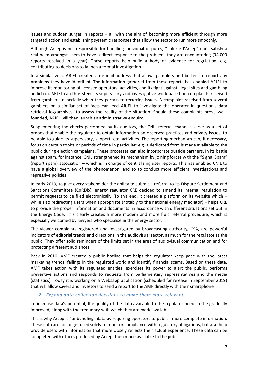issues and sudden surges in reports – all with the aim of becoming more efficient through more targeted action and establishing systemic responses that allow the sector to run more smoothly.

Although Arcep is not responsible for handling individual disputes, "J'alerte l'Arcep" does satisfy a real need amongst users to have a direct response to the problems they are encountering (34,000 reports received in a year). These reports help build a body of evidence for regulation, e.g. contributing to decisions to launch a formal investigation.

In a similar vein, ARJEL created an e-mail address that allows gamblers and betters to report any problems they have identified. The information gathered from these reports has enabled ARJEL to improve its monitoring of licensed operators' activities, and its fight against illegal sites and gambling addiction. ARJEL can thus steer its supervisory and investigative work based on complaints received from gamblers, especially when they pertain to recurring issues. A complaint received from several gamblers on a similar set of facts can lead ARJEL to investigate the operator in question's data retrieval log/archives, to assess the reality of the situation. Should these complaints prove wellfounded, ARJEL will then launch an administrative enquiry.

Supplementing the checks performed by its auditors, the CNIL referral channels serve as a set of probes that enable the regulator to obtain information on observed practices and privacy issues, to be able to guide its supervisory, support, etc. activities. The reporting mechanism can, if necessary, focus on certain topics or periods of time in particular: e.g. a dedicated form is made available to the public during election campaigns. These processes can also incorporate outside partners. In its battle against spam, for instance, CNIL strengthened its mechanism by joining forces with the "Signal Spam" (report spam) association – which is in charge of centralising user reports. This has enabled CNIL to have a global overview of the phenomenon, and so to conduct more efficient investigations and repressive policies.

In early 2019, to give every stakeholder the ability to submit a referral to its Dispute Settlement and Sanctions Committee (CoRDiS), energy regulator CRE decided to amend its internal regulation to permit requests to be filed electronically. To this end, it created a platform on its website which – while also redirecting users when appropriate (notably to the national energy mediator) – helps CRE to provide the proper information and documents, in accordance with different situations set out in the Energy Code. This clearly creates a more modern and more fluid referral procedure, which is especially welcomed by lawyers who specialise in the energy sector.

The viewer complaints registered and investigated by broadcasting authority, CSA, are powerful indicators of editorial trends and directions in the audiovisual sector, as much for the regulator as the public. They offer solid reminders of the limits set in the area of audiovisual communication and for protecting different audiences.

Back in 2010, AMF created a public hotline that helps the regulator keep pace with the latest marketing trends, failings in the regulated world and identify financial scams. Based on these data, AMF takes action with its regulated entities, exercises its power to alert the public, performs preventive actions and responds to requests from parliamentary representatives and the media (statistics). Today it is working on a Websapp application (scheduled for release in September 2019) that will allow savers and investors to send a report to the AMF directly with their smartphone.

#### *2. Expand data collection decisions to make them more relevant*

To increase data's potential, the quality of the data available to the regulator needs to be gradually improved, along with the frequency with which they are made available.

This is why Arcep is "unbundling" data by requiring operators to publish more complete information. These data are no longer used solely to monitor compliance with regulatory obligations, but also help provide users with information that more closely reflects their actual experience. These data can be completed with others produced by Arcep, then made available to the public.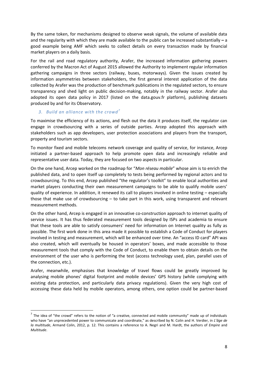By the same token, for mechanisms designed to observe weak signals, the volume of available data and the regularity with which they are made available to the public can be increased substantially **–** a good example being AMF which seeks to collect details on every transaction made by financial market players on a daily basis.

For the rail and road regulatory authority, Arafer, the increased information gathering powers conferred by the Macron Act of August 2015 allowed the Authority to implement regular information gathering campaigns in three sectors (railway, buses, motorways). Given the issues created by information asymmetries between stakeholders, the first general interest application of the data collected by Arafer was the production of benchmark publications in the regulated sectors, to ensure transparency and shed light on public decision-making, notably in the railway sector. Arafer also adopted its open data policy in 2017 (listed on the data.gouv.fr platform), publishing datasets produced by and for its Observatory.

#### *3. Build an alliance with the crowd<sup>7</sup>*

**.** 

To maximise the efficiency of its actions, and flesh out the data it produces itself, the regulator can engage in crowdsourcing with a series of outside parties. Arcep adopted this approach with stakeholders such as app developers, user protection associations and players from the transport, property and tourism sectors.

To monitor fixed and mobile telecoms network coverage and quality of service, for instance, Arcep initiated a partner-based approach to help promote open data and increasingly reliable and representative user data. Today, they are focused on two aspects in particular.

On the one hand, Arcep worked on the roadmap for "*Mon réseau mobile*" whose aim is to enrich the published data, and to open itself up completely to tests being performed by regional actors and to crowdsourcing. To this end, Arcep published "the regulator's toolkit" to enable local authorities and market players conducting their own measurement campaigns to be able to qualify mobile users' quality of experience. In addition, it renewed its call to players involved in online testing – especially those that make use of crowdsourcing – to take part in this work, using transparent and relevant measurement methods.

On the other hand, Arcep is engaged in an innovative co-construction approach to internet quality of service issues. It has thus federated measurement tools designed by ISPs and academia to ensure that these tools are able to satisfy consumers' need for information on Internet quality as fully as possible. The first work done in this area made it possible to establish a Code of Conduct for players involved in testing and measurement, which will be enhanced over time. An "access ID card" API was also created, which will eventually be housed in operators' boxes, and made accessible to those measurement tools that comply with the Code of Conduct, to enable them to obtain details on the environment of the user who is performing the test (access technology used, plan, parallel uses of the connection, etc.).

Arafer, meanwhile, emphasises that knowledge of travel flows could be greatly improved by analysing mobile phones' digital footprint and mobile devices' GPS history (while complying with existing data protection, and particularly data privacy regulations). Given the very high cost of accessing these data held by mobile operators, among others, one option could be partner-based

 $^7$  The idea of "the crowd" refers to the notion of "a creative, connected and mobile community" made up of individuals who have "an unprecedented power to communicate and coordinate," as described by N. Colin and H. Verdier, in *L'âge de la multitude*, Armand Colin, 2012, p. 12. This contains a reference to A. Negri and M. Hardt, the authors of *Empire* and *Multitude*.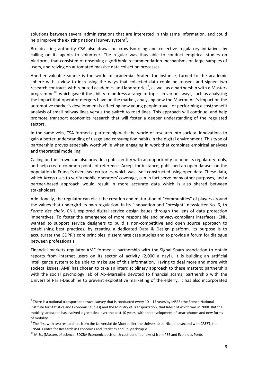solutions between several administrations that are interested in this same information, and could help improve the existing national survey system<sup>8</sup>.

Broadcasting authority CSA also draws on crowdsourcing and collective regulatory initiatives by calling on its agents to volunteer. The regular was thus able to conduct empirical studies on platforms that consisted of observing algorithmic recommendation mechanisms on large samples of users, and relying on automated massive data collection processes.

Another valuable source is the world of academia. Arafer, for instance, turned to the academic sphere with a view to increasing the ways that collected data could be reused, and signed two research contracts with reputed academics and laboratories<sup>9</sup>, as well as a partnership with a Masters programme<sup>10</sup>, which gave it the ability to address a range of topics in various ways, such as analysing the impact that operator mergers have on the market, analysing how the Macron Act's impact on the automotive market's development is affecting how young people travel, or performing a cost/benefit analysis of small railway lines versus the switch to road lines. This approach will continue, and help promote transport economics research that will foster a deeper understanding of the regulated sectors.

In the same vein, CSA formed a partnership with the world of research into societal innovations to gain a better understanding of usage and consumption habits in the digital environment. This type of partnership proves especially worthwhile when engaging in work that combines empirical analyses and theoretical modelling.

Calling on the crowd can also provide a public entity with an opportunity to hone its regulatory tools, and help create common points of reference. Arcep, for instance, published an open dataset on the population in France's overseas territories, which was itself constructed using open data. These data, which Arcep uses to verify mobile operators' coverage, can in fact serve many other purposes, and a partner-based approach would result in more accurate data which is also shared between stakeholders.

Additionally, the regulator can elicit the creation and maturation of "communities" of players around the values that undergird its own regulation. In its "Innovation and Foresight" newsletter No. 6, *La Forme des choix*, CNIL explored digital service design issues through the lens of data protection imperatives. To foster the emergence of more responsible and privacy-compliant interfaces, CNIL wanted to support service designers to build a non-competitive and open source approach to establishing best practices, by creating a dedicated Data & Design platform. Its purpose is to acculturate the GDPR's core principles, disseminate case studies and to provide a forum for dialogue between professionals.

Financial markets regulator AMF formed a partnership with the Signal Spam association to obtain reports from internet users on its sector of activity (2,000 a day!). It is building an artificial intelligence system to be able to make use of this information. Having to deal more and more with societal issues, AMF has chosen to take an interdisciplinary approach to these matters: partnership with the social psychology lab of Aix-Marseille devoted to financial scams, partnership with the Université Paris-Dauphine to prevent exploitative marketing of the elderly. It has also incorporated

1

 $^8$  There is a national transport and travel survey that is conducted every 10 – 15 years by INSEE (the French National Institute for Statistics and Economic Studies) and the Ministry of Transportation, that latest of which was in 2008. But the mobility landscape has evolved a great deal over the past 10 years, with the development of smartphones and new forms of mobility.

 $9$  The first with two researchers from the Université de Montpellier the Université de Nice, the second with CREST, the ENSAE Centre for Research in Economics and Statistics and Polytechnique.

 $10$  M.Sc. (Masters of science) EDCBA Economic decision & cost benefit analysis) from PSE and Ecole des Ponts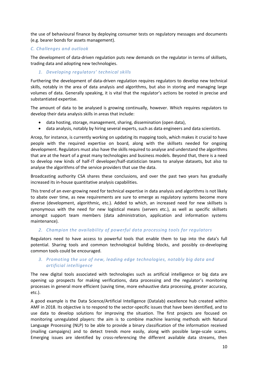the use of behavioural finance by deploying consumer tests on regulatory messages and documents (e.g. bearer bonds for assets management).

# *C. Challenges and outlook*

The development of data-driven regulation puts new demands on the regulator in terms of skillsets, trading data and adopting new technologies.

#### *1. Developing regulators' technical skills*

Furthering the development of data-driven regulation requires regulators to develop new technical skills, notably in the area of data analysis and algorithms, but also in storing and managing large volumes of data. Generally speaking, it is vital that the regulator's actions be rooted in precise and substantiated expertise.

The amount of data to be analysed is growing continually, however. Which requires regulators to develop their data analysis skills in areas that include:

- data hosting, storage, management, sharing, dissemination (open data),
- data analysis, notably by hiring several experts, such as data engineers and data scientists.

Arcep, for instance, is currently working on updating its mapping tools, which makes it crucial to have people with the required expertise on board, along with the skillsets needed for ongoing development. Regulators must also have the skills required to analyse and understand the algorithms that are at the heart of a great many technologies and business models. Beyond that, there is a need to develop new kinds of half-IT developer/half-statistician teams to analyse datasets, but also to analyse the algorithms of the service providers that use the data.

Broadcasting authority CSA shares these conclusions, and over the past two years has gradually increased its in-house quantitative analysis capabilities.

This trend of an ever-growing need for technical expertise in data analysis and algorithms is not likely to abate over time, as new requirements are sure to emerge as regulatory systems become more diverse (development, algorithmic, etc.). Added to which, an increased need for new skillsets is synonymous with the need for new logistical means (servers etc.), as well as specific skillsets amongst support team members (data administration, application and information systems maintenance).

#### *2. Champion the availability of powerful data processing tools for regulators*

Regulators need to have access to powerful tools that enable them to tap into the data's full potential. Sharing tools and common technological building blocks, and possibly co-developing common tools could be encouraged.

## *3. Promoting the use of new, leading edge technologies, notably big data and artificial intelligence*

The new digital tools associated with technologies such as artificial intelligence or big data are opening up prospects for making verifications, data processing and the regulator's monitoring processes in general more efficient (saving time, more exhaustive data processing, greater accuracy, etc.).

A good example is the Data Science/Artificial Intelligence (Datalab) excellence hub created within AMF in 2018. Its objective is to respond to the sector-specific issues that have been identified, and to use data to develop solutions for improving the situation. The first projects are focused on monitoring unregulated players: the aim is to combine machine learning methods with Natural Language Processing (NLP) to be able to provide a binary classification of the information received (mailing campaigns) and to detect trends more easily, along with possible large-scale scams. Emerging issues are identified by cross-referencing the different available data streams, then